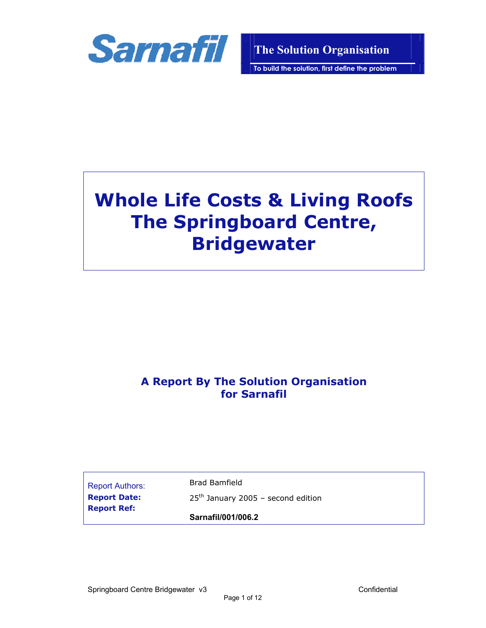

**To build the solution, first define the problem**

# **Whole Life Costs & Living Roofs The Springboard Centre, Bridgewater**

# **A Report By The Solution Organisation for Sarnafil**

Report Authors: Brad Bamfield **Report Ref:** 

**Report Date:** 25<sup>th</sup> January 2005 – second edition

# **Sarnafil/001/006.2**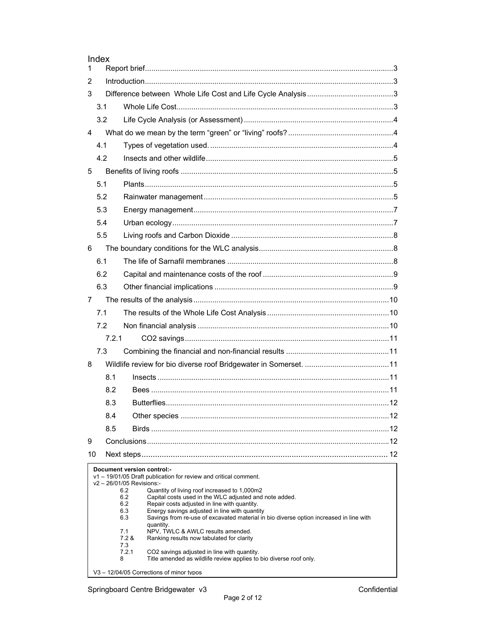|                | Index |                                                                                                                      |     |
|----------------|-------|----------------------------------------------------------------------------------------------------------------------|-----|
| 1              |       |                                                                                                                      |     |
| 2              |       |                                                                                                                      |     |
| 3              |       |                                                                                                                      |     |
|                | 3.1   |                                                                                                                      |     |
|                | 3.2   |                                                                                                                      |     |
| 4              |       |                                                                                                                      |     |
|                | 4.1   |                                                                                                                      |     |
|                | 4.2   |                                                                                                                      |     |
| 5              |       |                                                                                                                      |     |
|                | 5.1   |                                                                                                                      |     |
|                | 5.2   |                                                                                                                      |     |
|                | 5.3   |                                                                                                                      |     |
|                | 5.4   |                                                                                                                      |     |
|                | 5.5   |                                                                                                                      |     |
| 6              |       |                                                                                                                      |     |
|                | 6.1   |                                                                                                                      |     |
|                | 6.2   |                                                                                                                      |     |
|                | 6.3   |                                                                                                                      |     |
| $\overline{7}$ |       |                                                                                                                      |     |
|                | 7.1   |                                                                                                                      |     |
|                | 7.2   |                                                                                                                      |     |
|                | 7.2.1 |                                                                                                                      |     |
|                | 7.3   |                                                                                                                      |     |
| 8              |       |                                                                                                                      |     |
|                | 8.1   |                                                                                                                      |     |
|                | 8.2   |                                                                                                                      |     |
|                | 8.3   |                                                                                                                      |     |
|                | 8.4   |                                                                                                                      | .12 |
|                | 8.5   |                                                                                                                      |     |
| 9              |       |                                                                                                                      |     |
| 10             |       |                                                                                                                      |     |
|                |       | Document version control:-                                                                                           |     |
|                |       | v1 - 19/01/05 Draft publication for review and critical comment.<br>v2-26/01/05 Revisions:-                          |     |
|                |       | 6.2<br>Quantity of living roof increased to 1,000m2<br>6.2<br>Capital costs used in the WLC adjusted and note added. |     |
|                |       | 6.2<br>Repair costs adjusted in line with quantity.<br>6.3<br>Energy savings adjusted in line with quantity          |     |
|                |       | 6.3<br>Savings from re-use of excavated material in bio diverse option increased in line with<br>quantity.           |     |
|                |       | 7.1<br>NPV, TWLC & AWLC results amended.<br>7.2 &<br>Ranking results now tabulated for clarity                       |     |
|                |       | 7.3                                                                                                                  |     |
|                |       | 7.2.1<br>CO2 savings adjusted in line with quantity.                                                                 |     |

V3 - 12/04/05 Corrections of minor tvpos

Index

8 Title amended as wildlife review applies to bio diverse roof only.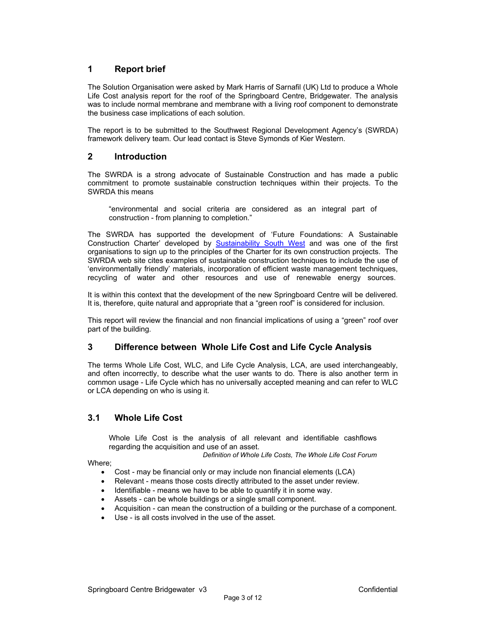# **1 Report brief**

The Solution Organisation were asked by Mark Harris of Sarnafil (UK) Ltd to produce a Whole Life Cost analysis report for the roof of the Springboard Centre, Bridgewater. The analysis was to include normal membrane and membrane with a living roof component to demonstrate the business case implications of each solution.

The report is to be submitted to the Southwest Regional Development Agency's (SWRDA) framework delivery team. Our lead contact is Steve Symonds of Kier Western.

# **2 Introduction**

The SWRDA is a strong advocate of Sustainable Construction and has made a public commitment to promote sustainable construction techniques within their projects. To the SWRDA this means

"environmental and social criteria are considered as an integral part of construction - from planning to completion."

The SWRDA has supported the development of 'Future Foundations: A Sustainable Construction Charter' developed by **Sustainability South West** and was one of the first organisations to sign up to the principles of the Charter for its own construction projects. The SWRDA web site cites examples of sustainable construction techniques to include the use of 'environmentally friendly' materials, incorporation of efficient waste management techniques, recycling of water and other resources and use of renewable energy sources.

It is within this context that the development of the new Springboard Centre will be delivered. It is, therefore, quite natural and appropriate that a "green roof" is considered for inclusion.

This report will review the financial and non financial implications of using a "green" roof over part of the building.

# **3 Difference between Whole Life Cost and Life Cycle Analysis**

The terms Whole Life Cost, WLC, and Life Cycle Analysis, LCA, are used interchangeably, and often incorrectly, to describe what the user wants to do. There is also another term in common usage - Life Cycle which has no universally accepted meaning and can refer to WLC or LCA depending on who is using it.

# **3.1 Whole Life Cost**

Whole Life Cost is the analysis of all relevant and identifiable cashflows regarding the acquisition and use of an asset.

*Definition of Whole Life Costs, The Whole Life Cost Forum* 

Where;

- Cost may be financial only or may include non financial elements (LCA)
- Relevant means those costs directly attributed to the asset under review.
- Identifiable means we have to be able to quantify it in some way.
- Assets can be whole buildings or a single small component.
- Acquisition can mean the construction of a building or the purchase of a component.
- Use is all costs involved in the use of the asset.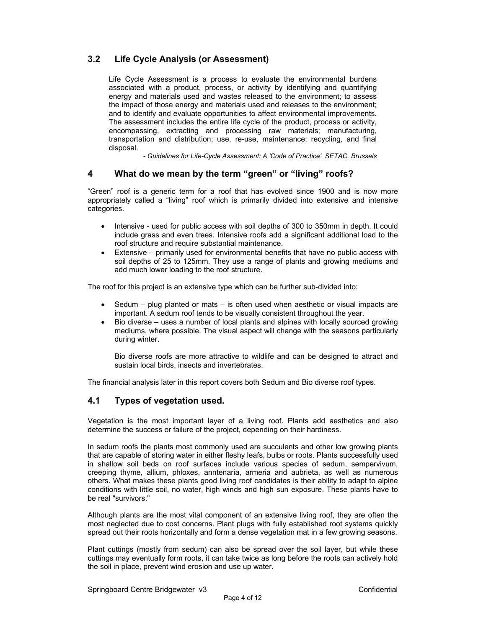# **3.2 Life Cycle Analysis (or Assessment)**

Life Cycle Assessment is a process to evaluate the environmental burdens associated with a product, process, or activity by identifying and quantifying energy and materials used and wastes released to the environment; to assess the impact of those energy and materials used and releases to the environment; and to identify and evaluate opportunities to affect environmental improvements. The assessment includes the entire life cycle of the product, process or activity, encompassing, extracting and processing raw materials; manufacturing, transportation and distribution; use, re-use, maintenance; recycling, and final disposal.

*- Guidelines for Life-Cycle Assessment: A 'Code of Practice', SETAC, Brussels* 

#### **4 What do we mean by the term "green" or "living" roofs?**

"Green" roof is a generic term for a roof that has evolved since 1900 and is now more appropriately called a "living" roof which is primarily divided into extensive and intensive categories.

- Intensive used for public access with soil depths of 300 to 350mm in depth. It could include grass and even trees. Intensive roofs add a significant additional load to the roof structure and require substantial maintenance.
- Extensive primarily used for environmental benefits that have no public access with soil depths of 25 to 125mm. They use a range of plants and growing mediums and add much lower loading to the roof structure.

The roof for this project is an extensive type which can be further sub-divided into:

- Sedum  $-$  plug planted or mats  $-$  is often used when aesthetic or visual impacts are important. A sedum roof tends to be visually consistent throughout the year.
- Bio diverse uses a number of local plants and alpines with locally sourced growing mediums, where possible. The visual aspect will change with the seasons particularly during winter.

Bio diverse roofs are more attractive to wildlife and can be designed to attract and sustain local birds, insects and invertebrates.

The financial analysis later in this report covers both Sedum and Bio diverse roof types.

# **4.1 Types of vegetation used.**

Vegetation is the most important layer of a living roof. Plants add aesthetics and also determine the success or failure of the project, depending on their hardiness.

In sedum roofs the plants most commonly used are succulents and other low growing plants that are capable of storing water in either fleshy leafs, bulbs or roots. Plants successfully used in shallow soil beds on roof surfaces include various species of sedum, sempervivum, creeping thyme, allium, phloxes, anntenaria, armeria and aubrieta, as well as numerous others. What makes these plants good living roof candidates is their ability to adapt to alpine conditions with little soil, no water, high winds and high sun exposure. These plants have to be real "survivors."

Although plants are the most vital component of an extensive living roof, they are often the most neglected due to cost concerns. Plant plugs with fully established root systems quickly spread out their roots horizontally and form a dense vegetation mat in a few growing seasons.

Plant cuttings (mostly from sedum) can also be spread over the soil layer, but while these cuttings may eventually form roots, it can take twice as long before the roots can actively hold the soil in place, prevent wind erosion and use up water.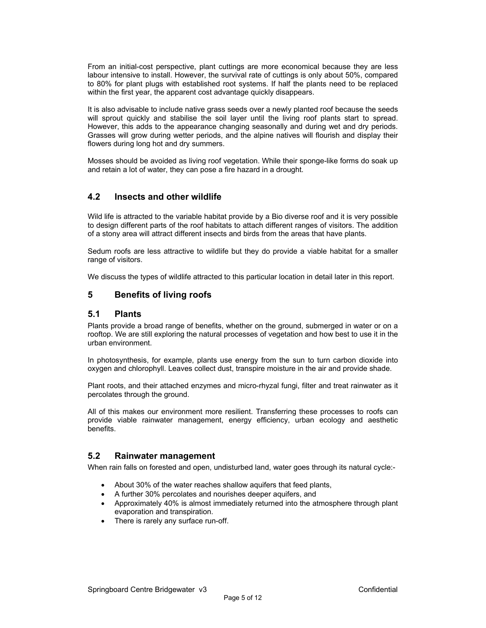From an initial-cost perspective, plant cuttings are more economical because they are less labour intensive to install. However, the survival rate of cuttings is only about 50%, compared to 80% for plant plugs with established root systems. If half the plants need to be replaced within the first year, the apparent cost advantage quickly disappears.

It is also advisable to include native grass seeds over a newly planted roof because the seeds will sprout quickly and stabilise the soil layer until the living roof plants start to spread. However, this adds to the appearance changing seasonally and during wet and dry periods. Grasses will grow during wetter periods, and the alpine natives will flourish and display their flowers during long hot and dry summers.

Mosses should be avoided as living roof vegetation. While their sponge-like forms do soak up and retain a lot of water, they can pose a fire hazard in a drought.

# **4.2 Insects and other wildlife**

Wild life is attracted to the variable habitat provide by a Bio diverse roof and it is very possible to design different parts of the roof habitats to attach different ranges of visitors. The addition of a stony area will attract different insects and birds from the areas that have plants.

Sedum roofs are less attractive to wildlife but they do provide a viable habitat for a smaller range of visitors.

We discuss the types of wildlife attracted to this particular location in detail later in this report.

# **5 Benefits of living roofs**

#### **5.1 Plants**

Plants provide a broad range of benefits, whether on the ground, submerged in water or on a rooftop. We are still exploring the natural processes of vegetation and how best to use it in the urban environment.

In photosynthesis, for example, plants use energy from the sun to turn carbon dioxide into oxygen and chlorophyll. Leaves collect dust, transpire moisture in the air and provide shade.

Plant roots, and their attached enzymes and micro-rhyzal fungi, filter and treat rainwater as it percolates through the ground.

All of this makes our environment more resilient. Transferring these processes to roofs can provide viable rainwater management, energy efficiency, urban ecology and aesthetic benefits.

#### **5.2 Rainwater management**

When rain falls on forested and open, undisturbed land, water goes through its natural cycle:-

- About 30% of the water reaches shallow aquifers that feed plants,
- A further 30% percolates and nourishes deeper aquifers, and
- Approximately 40% is almost immediately returned into the atmosphere through plant evaporation and transpiration.
- There is rarely any surface run-off.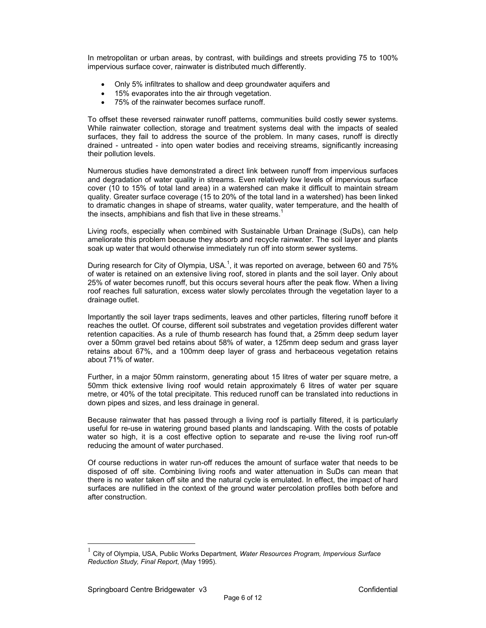In metropolitan or urban areas, by contrast, with buildings and streets providing 75 to 100% impervious surface cover, rainwater is distributed much differently.

- Only 5% infiltrates to shallow and deep groundwater aquifers and
- 15% evaporates into the air through vegetation.
- 75% of the rainwater becomes surface runoff.

To offset these reversed rainwater runoff patterns, communities build costly sewer systems. While rainwater collection, storage and treatment systems deal with the impacts of sealed surfaces, they fail to address the source of the problem. In many cases, runoff is directly drained - untreated - into open water bodies and receiving streams, significantly increasing their pollution levels.

Numerous studies have demonstrated a direct link between runoff from impervious surfaces and degradation of water quality in streams. Even relatively low levels of impervious surface cover (10 to 15% of total land area) in a watershed can make it difficult to maintain stream quality. Greater surface coverage (15 to 20% of the total land in a watershed) has been linked to dramatic changes in shape of streams, water quality, water temperature, and the health of the insects, amphibians and fish that live in these streams.<sup>1</sup>

Living roofs, especially when combined with Sustainable Urban Drainage (SuDs), can help ameliorate this problem because they absorb and recycle rainwater. The soil layer and plants soak up water that would otherwise immediately run off into storm sewer systems.

During research for City of Olympia, USA.<sup>1</sup>, it was reported on average, between 60 and 75% of water is retained on an extensive living roof, stored in plants and the soil layer. Only about 25% of water becomes runoff, but this occurs several hours after the peak flow. When a living roof reaches full saturation, excess water slowly percolates through the vegetation layer to a drainage outlet.

Importantly the soil layer traps sediments, leaves and other particles, filtering runoff before it reaches the outlet. Of course, different soil substrates and vegetation provides different water retention capacities. As a rule of thumb research has found that, a 25mm deep sedum layer over a 50mm gravel bed retains about 58% of water, a 125mm deep sedum and grass layer retains about 67%, and a 100mm deep layer of grass and herbaceous vegetation retains about 71% of water.

Further, in a major 50mm rainstorm, generating about 15 litres of water per square metre, a 50mm thick extensive living roof would retain approximately 6 litres of water per square metre, or 40% of the total precipitate. This reduced runoff can be translated into reductions in down pipes and sizes, and less drainage in general.

Because rainwater that has passed through a living roof is partially filtered, it is particularly useful for re-use in watering ground based plants and landscaping. With the costs of potable water so high, it is a cost effective option to separate and re-use the living roof run-off reducing the amount of water purchased.

Of course reductions in water run-off reduces the amount of surface water that needs to be disposed of off site. Combining living roofs and water attenuation in SuDs can mean that there is no water taken off site and the natural cycle is emulated. In effect, the impact of hard surfaces are nullified in the context of the ground water percolation profiles both before and after construction.

 $\overline{a}$ 

<sup>1</sup> City of Olympia, USA, Public Works Department*, Water Resources Program, Impervious Surface Reduction Study, Final Report*, (May 1995).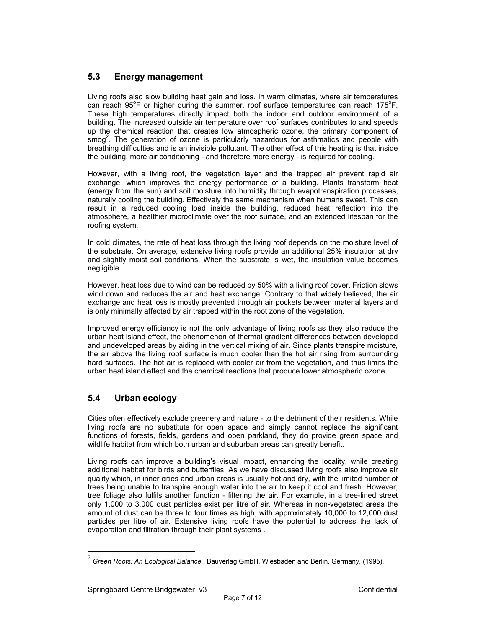# **5.3 Energy management**

Living roofs also slow building heat gain and loss. In warm climates, where air temperatures can reach 95°F or higher during the summer, roof surface temperatures can reach 175°F. These high temperatures directly impact both the indoor and outdoor environment of a building. The increased outside air temperature over roof surfaces contributes to and speeds up the chemical reaction that creates low atmospheric ozone, the primary component of  $\textsf{smog}^2$ . The generation of ozone is particularly hazardous for asthmatics and people with breathing difficulties and is an invisible pollutant. The other effect of this heating is that inside the building, more air conditioning - and therefore more energy - is required for cooling.

However, with a living roof, the vegetation layer and the trapped air prevent rapid air exchange, which improves the energy performance of a building. Plants transform heat (energy from the sun) and soil moisture into humidity through evapotranspiration processes, naturally cooling the building. Effectively the same mechanism when humans sweat. This can result in a reduced cooling load inside the building, reduced heat reflection into the atmosphere, a healthier microclimate over the roof surface, and an extended lifespan for the roofing system.

In cold climates, the rate of heat loss through the living roof depends on the moisture level of the substrate. On average, extensive living roofs provide an additional 25% insulation at dry and slightly moist soil conditions. When the substrate is wet, the insulation value becomes negligible.

However, heat loss due to wind can be reduced by 50% with a living roof cover. Friction slows wind down and reduces the air and heat exchange. Contrary to that widely believed, the air exchange and heat loss is mostly prevented through air pockets between material layers and is only minimally affected by air trapped within the root zone of the vegetation.

Improved energy efficiency is not the only advantage of living roofs as they also reduce the urban heat island effect, the phenomenon of thermal gradient differences between developed and undeveloped areas by aiding in the vertical mixing of air. Since plants transpire moisture, the air above the living roof surface is much cooler than the hot air rising from surrounding hard surfaces. The hot air is replaced with cooler air from the vegetation, and thus limits the urban heat island effect and the chemical reactions that produce lower atmospheric ozone.

# **5.4 Urban ecology**

Cities often effectively exclude greenery and nature - to the detriment of their residents. While living roofs are no substitute for open space and simply cannot replace the significant functions of forests, fields, gardens and open parkland, they do provide green space and wildlife habitat from which both urban and suburban areas can greatly benefit.

Living roofs can improve a building's visual impact, enhancing the locality, while creating additional habitat for birds and butterflies. As we have discussed living roofs also improve air quality which, in inner cities and urban areas is usually hot and dry, with the limited number of trees being unable to transpire enough water into the air to keep it cool and fresh. However, tree foliage also fulfils another function - filtering the air. For example, in a tree-lined street only 1,000 to 3,000 dust particles exist per litre of air. Whereas in non-vegetated areas the amount of dust can be three to four times as high, with approximately 10,000 to 12,000 dust particles per litre of air. Extensive living roofs have the potential to address the lack of evaporation and filtration through their plant systems .

 $\overline{a}$ 

<sup>2</sup> *Green Roofs: An Ecological Balance*., Bauverlag GmbH, Wiesbaden and Berlin, Germany, (1995).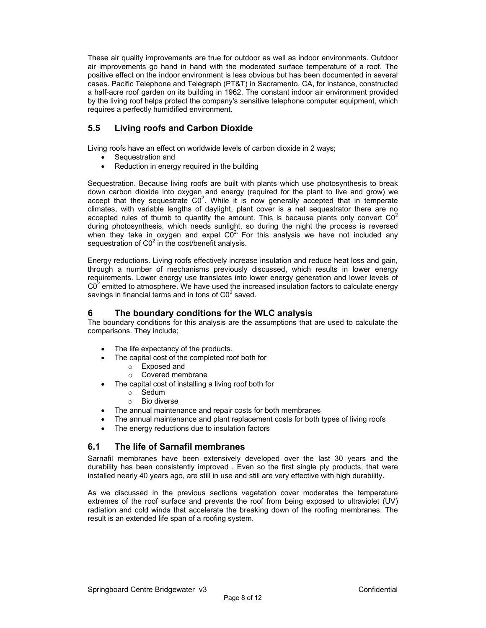These air quality improvements are true for outdoor as well as indoor environments. Outdoor air improvements go hand in hand with the moderated surface temperature of a roof. The positive effect on the indoor environment is less obvious but has been documented in several cases. Pacific Telephone and Telegraph (PT&T) in Sacramento, CA, for instance, constructed a half-acre roof garden on its building in 1962. The constant indoor air environment provided by the living roof helps protect the company's sensitive telephone computer equipment, which requires a perfectly humidified environment.

# **5.5 Living roofs and Carbon Dioxide**

Living roofs have an effect on worldwide levels of carbon dioxide in 2 ways;

- Sequestration and
- Reduction in energy required in the building

Sequestration. Because living roofs are built with plants which use photosynthesis to break down carbon dioxide into oxygen and energy (required for the plant to live and grow) we accept that they sequestrate  $CO<sup>2</sup>$ . While it is now generally accepted that in temperate climates, with variable lengths of daylight, plant cover is a net sequestrator there are no accepted rules of thumb to quantify the amount. This is because plants only convert  $CO<sup>2</sup>$ during photosynthesis, which needs sunlight, so during the night the process is reversed when they take in oxygen and expel  $\overline{CO}^2$ . For this analysis we have not included any sequestration of  $CO<sup>2</sup>$  in the cost/benefit analysis.

Energy reductions. Living roofs effectively increase insulation and reduce heat loss and gain, through a number of mechanisms previously discussed, which results in lower energy requirements. Lower energy use translates into lower energy generation and lower levels of  $CO<sup>2</sup>$  emitted to atmosphere. We have used the increased insulation factors to calculate energy savings in financial terms and in tons of  $CO<sup>2</sup>$  saved.

# **6 The boundary conditions for the WLC analysis**

The boundary conditions for this analysis are the assumptions that are used to calculate the comparisons. They include;

- The life expectancy of the products.
- The capital cost of the completed roof both for
	- o Exposed and
	- o Covered membrane
- The capital cost of installing a living roof both for
	- o Sedum
	- o Bio diverse
- The annual maintenance and repair costs for both membranes
- The annual maintenance and plant replacement costs for both types of living roofs
- The energy reductions due to insulation factors

# **6.1 The life of Sarnafil membranes**

Sarnafil membranes have been extensively developed over the last 30 years and the durability has been consistently improved . Even so the first single ply products, that were installed nearly 40 years ago, are still in use and still are very effective with high durability.

As we discussed in the previous sections vegetation cover moderates the temperature extremes of the roof surface and prevents the roof from being exposed to ultraviolet (UV) radiation and cold winds that accelerate the breaking down of the roofing membranes. The result is an extended life span of a roofing system.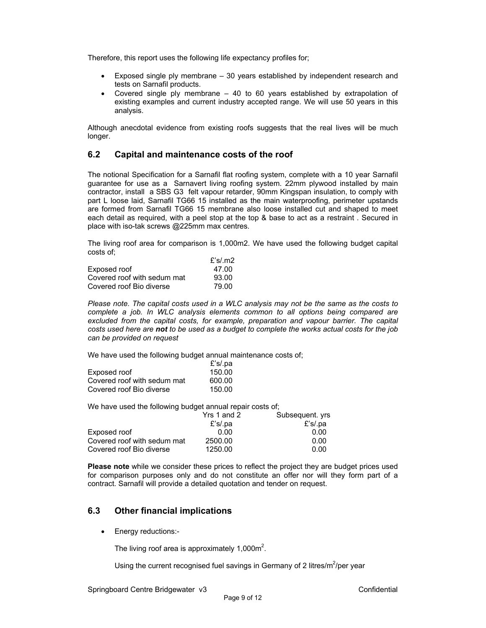Therefore, this report uses the following life expectancy profiles for;

- Exposed single ply membrane 30 years established by independent research and tests on Sarnafil products.
- Covered single ply membrane  $-40$  to 60 years established by extrapolation of existing examples and current industry accepted range. We will use 50 years in this analysis.

Although anecdotal evidence from existing roofs suggests that the real lives will be much longer.

#### **6.2 Capital and maintenance costs of the roof**

The notional Specification for a Sarnafil flat roofing system, complete with a 10 year Sarnafil guarantee for use as a Sarnavert living roofing system. 22mm plywood installed by main contractor, install a SBS G3 felt vapour retarder, 90mm Kingspan insulation, to comply with part L loose laid, Sarnafil TG66 15 installed as the main waterproofing, perimeter upstands are formed from Sarnafil TG66 15 membrane also loose installed cut and shaped to meet each detail as required, with a peel stop at the top & base to act as a restraint . Secured in place with iso-tak screws @225mm max centres.

The living roof area for comparison is 1,000m2. We have used the following budget capital costs of;

|                             | £'s/.m2 |
|-----------------------------|---------|
| Exposed roof                | 47.00   |
| Covered roof with sedum mat | 93.00   |
| Covered roof Bio diverse    | 79.00   |

*Please note. The capital costs used in a WLC analysis may not be the same as the costs to complete a job. In WLC analysis elements common to all options being compared are*  excluded from the capital costs, for example, preparation and vapour barrier. The capital *costs used here are not to be used as a budget to complete the works actual costs for the job can be provided on request* 

We have used the following budget annual maintenance costs of;

|                             | £'s/.pa |
|-----------------------------|---------|
| Exposed roof                | 150.00  |
| Covered roof with sedum mat | 600.00  |
| Covered roof Bio diverse    | 150.00  |

We have used the following budget annual repair costs of;

|                             | Yrs 1 and 2 | Subsequent. yrs |
|-----------------------------|-------------|-----------------|
|                             | $E$ 's/.pa  | £'s/.pa         |
| Exposed roof                | 0.00        | 0.00            |
| Covered roof with sedum mat | 2500.00     | 0.00            |
| Covered roof Bio diverse    | 1250.00     | 0.00            |

**Please note** while we consider these prices to reflect the project they are budget prices used for comparison purposes only and do not constitute an offer nor will they form part of a contract. Sarnafil will provide a detailed quotation and tender on request.

# **6.3 Other financial implications**

• Energy reductions:-

The living roof area is approximately 1,000 $m^2$ .

Using the current recognised fuel savings in Germany of 2 litres/ $m^2$ /per year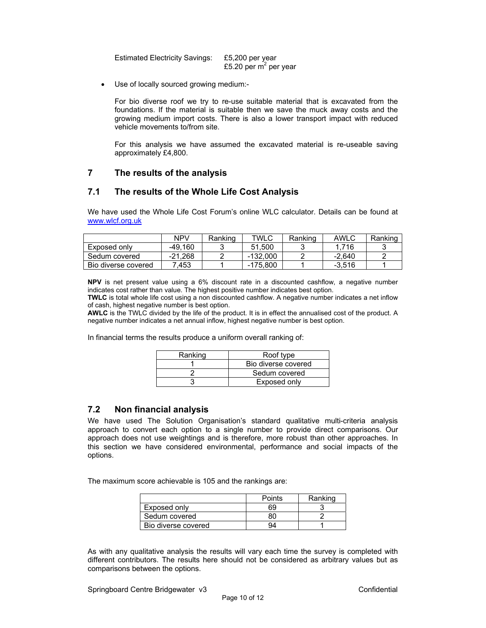Estimated Electricity Savings: £5,200 per year  $£5.20 \text{ per m}^2 \text{ per year}$ 

Use of locally sourced growing medium:-

For bio diverse roof we try to re-use suitable material that is excavated from the foundations. If the material is suitable then we save the muck away costs and the growing medium import costs. There is also a lower transport impact with reduced vehicle movements to/from site.

For this analysis we have assumed the excavated material is re-useable saving approximately £4,800.

# **7 The results of the analysis**

# **7.1 The results of the Whole Life Cost Analysis**

We have used the Whole Life Cost Forum's online WLC calculator. Details can be found at www.wlcf.org.uk

|                     | NPV       | Ranking | <b>TWLC</b> | Ranking | AWLC     | Ranking |
|---------------------|-----------|---------|-------------|---------|----------|---------|
| Exposed only        | $-49.160$ |         | 51.500      |         | 1.716    |         |
| Sedum covered       | $-21.268$ |         | -132.000    |         | -2.640   |         |
| Bio diverse covered | 7.453     |         | -175.800    |         | $-3.516$ |         |

**NPV** is net present value using a 6% discount rate in a discounted cashflow, a negative number indicates cost rather than value. The highest positive number indicates best option.

**TWLC** is total whole life cost using a non discounted cashflow. A negative number indicates a net inflow of cash, highest negative number is best option.

**AWLC** is the TWLC divided by the life of the product. It is in effect the annualised cost of the product. A negative number indicates a net annual inflow, highest negative number is best option.

In financial terms the results produce a uniform overall ranking of:

| Ranking | Roof type           |
|---------|---------------------|
|         | Bio diverse covered |
|         | Sedum covered       |
|         | Exposed only        |

#### **7.2 Non financial analysis**

We have used The Solution Organisation's standard qualitative multi-criteria analysis approach to convert each option to a single number to provide direct comparisons. Our approach does not use weightings and is therefore, more robust than other approaches. In this section we have considered environmental, performance and social impacts of the options.

The maximum score achievable is 105 and the rankings are:

|                     | Points | Ranking |
|---------------------|--------|---------|
| Exposed only        | 69     |         |
| Sedum covered       |        |         |
| Bio diverse covered | 94     |         |

As with any qualitative analysis the results will vary each time the survey is completed with different contributors. The results here should not be considered as arbitrary values but as comparisons between the options.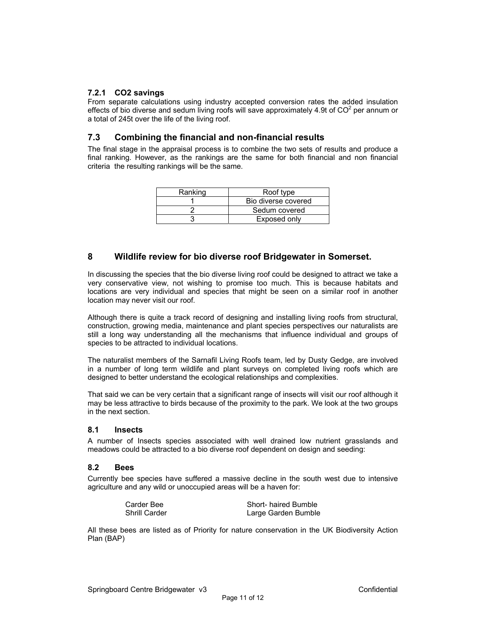#### **7.2.1 CO2 savings**

From separate calculations using industry accepted conversion rates the added insulation effects of bio diverse and sedum living roofs will save approximately 4.9t of  $CO<sup>2</sup>$  per annum or a total of 245t over the life of the living roof.

# **7.3 Combining the financial and non-financial results**

The final stage in the appraisal process is to combine the two sets of results and produce a final ranking. However, as the rankings are the same for both financial and non financial criteria the resulting rankings will be the same.

| Ranking | Roof type           |
|---------|---------------------|
|         | Bio diverse covered |
|         | Sedum covered       |
|         | Exposed only        |

# **8 Wildlife review for bio diverse roof Bridgewater in Somerset.**

In discussing the species that the bio diverse living roof could be designed to attract we take a very conservative view, not wishing to promise too much. This is because habitats and locations are very individual and species that might be seen on a similar roof in another location may never visit our roof.

Although there is quite a track record of designing and installing living roofs from structural, construction, growing media, maintenance and plant species perspectives our naturalists are still a long way understanding all the mechanisms that influence individual and groups of species to be attracted to individual locations.

The naturalist members of the Sarnafil Living Roofs team, led by Dusty Gedge, are involved in a number of long term wildlife and plant surveys on completed living roofs which are designed to better understand the ecological relationships and complexities.

That said we can be very certain that a significant range of insects will visit our roof although it may be less attractive to birds because of the proximity to the park. We look at the two groups in the next section.

#### **8.1 Insects**

A number of Insects species associated with well drained low nutrient grasslands and meadows could be attracted to a bio diverse roof dependent on design and seeding:

#### **8.2 Bees**

Currently bee species have suffered a massive decline in the south west due to intensive agriculture and any wild or unoccupied areas will be a haven for:

| Carder Bee           | Short- haired Bumble |
|----------------------|----------------------|
| <b>Shrill Carder</b> | Large Garden Bumble  |

All these bees are listed as of Priority for nature conservation in the UK Biodiversity Action Plan (BAP)